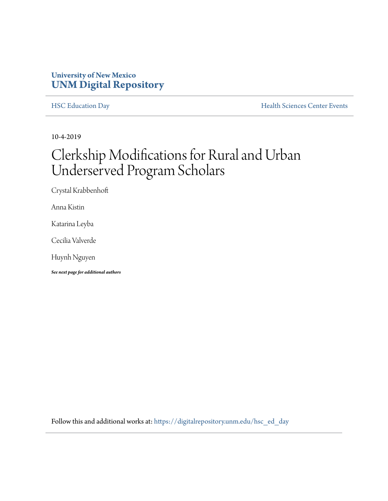## **University of New Mexico [UNM Digital Repository](https://digitalrepository.unm.edu/?utm_source=digitalrepository.unm.edu%2Fhsc_ed_day%2F51&utm_medium=PDF&utm_campaign=PDFCoverPages)**

[HSC Education Day](https://digitalrepository.unm.edu/hsc_ed_day?utm_source=digitalrepository.unm.edu%2Fhsc_ed_day%2F51&utm_medium=PDF&utm_campaign=PDFCoverPages) **[Health Sciences Center Events](https://digitalrepository.unm.edu/hsc_events?utm_source=digitalrepository.unm.edu%2Fhsc_ed_day%2F51&utm_medium=PDF&utm_campaign=PDFCoverPages)** 

10-4-2019

## Clerkship Modifications for Rural and Urban Underserved Program Scholars

Crystal Krabbenhoft

Anna Kistin

Katarina Leyba

Cecilia Valverde

Huynh Nguyen

*See next page for additional authors*

Follow this and additional works at: [https://digitalrepository.unm.edu/hsc\\_ed\\_day](https://digitalrepository.unm.edu/hsc_ed_day?utm_source=digitalrepository.unm.edu%2Fhsc_ed_day%2F51&utm_medium=PDF&utm_campaign=PDFCoverPages)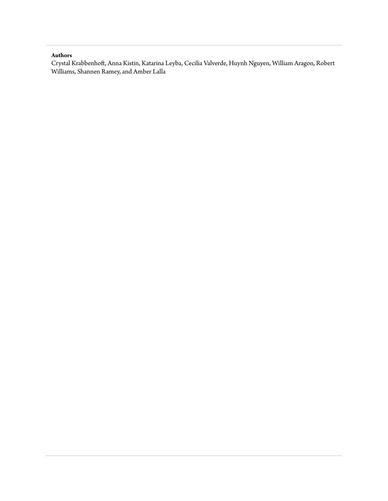## **Authors**

Crystal Krabbenhoft, Anna Kistin, Katarina Leyba, Cecilia Valverde, Huynh Nguyen, William Aragon, Robert Williams, Shannen Ramey, and Amber Lalla